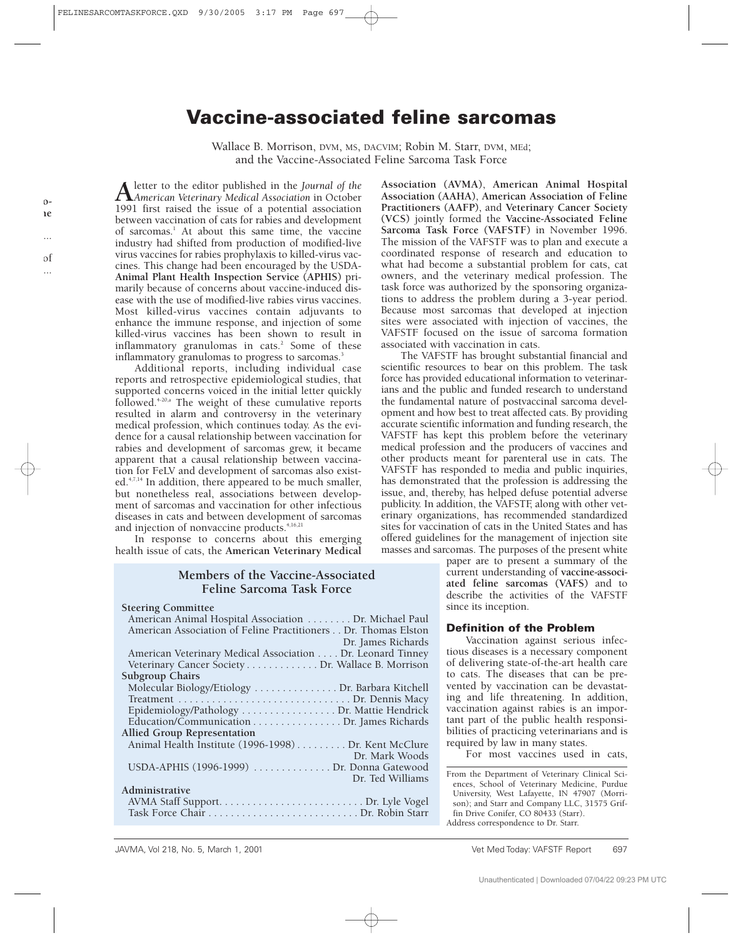# **Vaccine-associated feline sarcomas**

Wallace B. Morrison, DVM, MS, DACVIM; Robin M. Starr, DVM, MEd; and the Vaccine-Associated Feline Sarcoma Task Force

**A**letter to the editor published in the *Journal of the American Veterinary Medical Association* in October 1991 first raised the issue of a potential association between vaccination of cats for rabies and development of sarcomas.<sup>1</sup> At about this same time, the vaccine industry had shifted from production of modified-live virus vaccines for rabies prophylaxis to killed-virus vaccines. This change had been encouraged by the USDA-**Animal Plant Health Inspection Service (APHIS)** primarily because of concerns about vaccine-induced disease with the use of modified-live rabies virus vaccines. Most killed-virus vaccines contain adjuvants to enhance the immune response, and injection of some killed-virus vaccines has been shown to result in inflammatory granulomas in cats. $2$  Some of these inflammatory granulomas to progress to sarcomas.<sup>3</sup>

Additional reports, including individual case reports and retrospective epidemiological studies, that supported concerns voiced in the initial letter quickly followed.<sup> $4-20,$ a</sup> The weight of these cumulative reports resulted in alarm and controversy in the veterinary medical profession, which continues today. As the evidence for a causal relationship between vaccination for rabies and development of sarcomas grew, it became apparent that a causal relationship between vaccination for FeLV and development of sarcomas also existed.<sup>4,7,14</sup> In addition, there appeared to be much smaller, but nonetheless real, associations between development of sarcomas and vaccination for other infectious diseases in cats and between development of sarcomas and injection of nonvaccine products.<sup>4,16,21</sup>

In response to concerns about this emerging health issue of cats, the **American Veterinary Medical**

# **Members of the Vaccine-Associated Feline Sarcoma Task Force**

**Steering Committee** American Animal Hospital Association . . . . . . . . Dr. Michael Paul American Association of Feline Practitioners . . Dr. Thomas Elston Dr. James Richards American Veterinary Medical Association . . . . Dr. Leonard Tinney Veterinary Cancer Society . . . . . . . . . . . . . Dr. Wallace B. Morrison **Subgroup Chairs** Molecular Biology/Etiology . . . . . . . . . . . . . . . Dr. Barbara Kitchell Treatment . . . . . . . . . . . . . . . . . . . . . . . . . . . . . . . Dr. Dennis Macy Epidemiology/Pathology . . . . . . . . . . . . . . . . . Dr. Mattie Hendrick Education/Communication . . . . . . . . . . . . . . . . Dr. James Richards **Allied Group Representation** Animal Health Institute (1996-1998) . . . . . . . . . Dr. Kent McClure Dr. Mark Woods USDA-APHIS (1996-1999) . . . . . . . . . . . . . . Dr. Donna Gatewood Dr. Ted Williams **Administrative** AVMA Staff Support. . . . . . . . . . . . . . . . . . . . . . . . . . Dr. Lyle Vogel Task Force Chair . . . . . . . . . . . . . . . . . . . . . . . . . . . Dr. Robin Starr

**Association (AVMA)**, **American Animal Hospital Association (AAHA)**, **American Association of Feline Practitioners (AAFP)**, and **Veterinary Cancer Society (VCS)** jointly formed the **Vaccine-Associated Feline Sarcoma Task Force (VAFSTF)** in November 1996. The mission of the VAFSTF was to plan and execute a coordinated response of research and education to what had become a substantial problem for cats, cat owners, and the veterinary medical profession. The task force was authorized by the sponsoring organizations to address the problem during a 3-year period. Because most sarcomas that developed at injection sites were associated with injection of vaccines, the VAFSTF focused on the issue of sarcoma formation associated with vaccination in cats.

The VAFSTF has brought substantial financial and scientific resources to bear on this problem. The task force has provided educational information to veterinarians and the public and funded research to understand the fundamental nature of postvaccinal sarcoma development and how best to treat affected cats. By providing accurate scientific information and funding research, the VAFSTF has kept this problem before the veterinary medical profession and the producers of vaccines and other products meant for parenteral use in cats. The VAFSTF has responded to media and public inquiries, has demonstrated that the profession is addressing the issue, and, thereby, has helped defuse potential adverse publicity. In addition, the VAFSTF, along with other veterinary organizations, has recommended standardized sites for vaccination of cats in the United States and has offered guidelines for the management of injection site masses and sarcomas. The purposes of the present white

paper are to present a summary of the current understanding of **vaccine-associated feline sarcomas (VAFS)** and to describe the activities of the VAFSTF since its inception.

#### **Definition of the Problem**

Vaccination against serious infectious diseases is a necessary component of delivering state-of-the-art health care to cats. The diseases that can be prevented by vaccination can be devastating and life threatening. In addition, vaccination against rabies is an important part of the public health responsibilities of practicing veterinarians and is required by law in many states.

For most vaccines used in cats,

From the Department of Veterinary Clinical Sciences, School of Veterinary Medicine, Purdue University, West Lafayette, IN 47907 (Morrison); and Starr and Company LLC, 31575 Griffin Drive Conifer, CO 80433 (Starr). Address correspondence to Dr. Starr.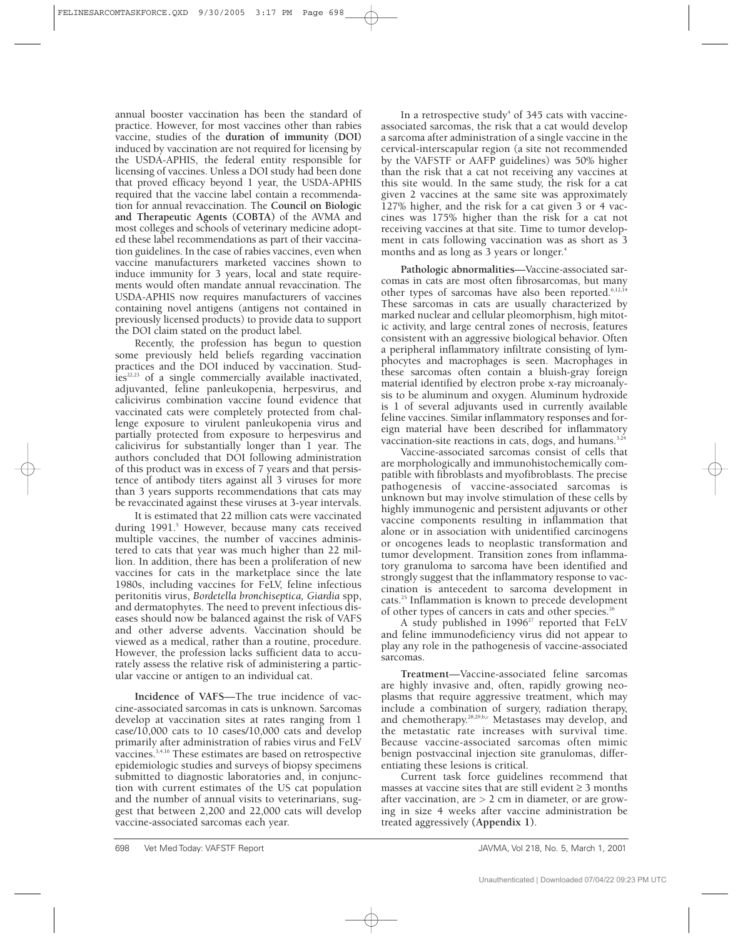annual booster vaccination has been the standard of practice. However, for most vaccines other than rabies vaccine, studies of the **duration of immunity (DOI)** induced by vaccination are not required for licensing by the USDA-APHIS, the federal entity responsible for licensing of vaccines. Unless a DOI study had been done that proved efficacy beyond 1 year, the USDA-APHIS required that the vaccine label contain a recommendation for annual revaccination. The **Council on Biologic and Therapeutic Agents (COBTA)** of the AVMA and most colleges and schools of veterinary medicine adopted these label recommendations as part of their vaccination guidelines. In the case of rabies vaccines, even when vaccine manufacturers marketed vaccines shown to induce immunity for 3 years, local and state requirements would often mandate annual revaccination. The USDA-APHIS now requires manufacturers of vaccines containing novel antigens (antigens not contained in previously licensed products) to provide data to support the DOI claim stated on the product label.

Recently, the profession has begun to question some previously held beliefs regarding vaccination practices and the DOI induced by vaccination. Stud- $\text{ies}^{22,23}$  of a single commercially available inactivated, adjuvanted, feline panleukopenia, herpesvirus, and calicivirus combination vaccine found evidence that vaccinated cats were completely protected from challenge exposure to virulent panleukopenia virus and partially protected from exposure to herpesvirus and calicivirus for substantially longer than 1 year. The authors concluded that DOI following administration of this product was in excess of 7 years and that persistence of antibody titers against all 3 viruses for more than 3 years supports recommendations that cats may be revaccinated against these viruses at 3-year intervals.

It is estimated that 22 million cats were vaccinated during 1991.<sup>5</sup> However, because many cats received multiple vaccines, the number of vaccines administered to cats that year was much higher than 22 million. In addition, there has been a proliferation of new vaccines for cats in the marketplace since the late 1980s, including vaccines for FeLV, feline infectious peritonitis virus, *Bordetella bronchiseptica, Giardia* spp, and dermatophytes. The need to prevent infectious diseases should now be balanced against the risk of VAFS and other adverse advents. Vaccination should be viewed as a medical, rather than a routine, procedure. However, the profession lacks sufficient data to accurately assess the relative risk of administering a particular vaccine or antigen to an individual cat.

**Incidence of VAFS**—The true incidence of vaccine-associated sarcomas in cats is unknown. Sarcomas develop at vaccination sites at rates ranging from 1 case/10,000 cats to 10 cases/10,000 cats and develop primarily after administration of rabies virus and FeLV vaccines.3,4,16 These estimates are based on retrospective epidemiologic studies and surveys of biopsy specimens submitted to diagnostic laboratories and, in conjunction with current estimates of the US cat population and the number of annual visits to veterinarians, suggest that between 2,200 and 22,000 cats will develop vaccine-associated sarcomas each year.

In a retrospective study<sup>4</sup> of  $345$  cats with vaccineassociated sarcomas, the risk that a cat would develop a sarcoma after administration of a single vaccine in the cervical-interscapular region (a site not recommended by the VAFSTF or AAFP guidelines) was 50% higher than the risk that a cat not receiving any vaccines at this site would. In the same study, the risk for a cat given 2 vaccines at the same site was approximately 127% higher, and the risk for a cat given 3 or 4 vaccines was 175% higher than the risk for a cat not receiving vaccines at that site. Time to tumor development in cats following vaccination was as short as 3 months and as long as 3 years or longer.<sup>4</sup>

**Pathologic abnormalities**—Vaccine-associated sarcomas in cats are most often fibrosarcomas, but many other types of sarcomas have also been reported.<sup>6,12,14</sup> These sarcomas in cats are usually characterized by marked nuclear and cellular pleomorphism, high mitotic activity, and large central zones of necrosis, features consistent with an aggressive biological behavior. Often a peripheral inflammatory infiltrate consisting of lymphocytes and macrophages is seen. Macrophages in these sarcomas often contain a bluish-gray foreign material identified by electron probe x-ray microanalysis to be aluminum and oxygen. Aluminum hydroxide is 1 of several adjuvants used in currently available feline vaccines. Similar inflammatory responses and foreign material have been described for inflammatory vaccination-site reactions in cats, dogs, and humans. $3,24$ 

Vaccine-associated sarcomas consist of cells that are morphologically and immunohistochemically compatible with fibroblasts and myofibroblasts. The precise pathogenesis of vaccine-associated sarcomas is unknown but may involve stimulation of these cells by highly immunogenic and persistent adjuvants or other vaccine components resulting in inflammation that alone or in association with unidentified carcinogens or oncogenes leads to neoplastic transformation and tumor development. Transition zones from inflammatory granuloma to sarcoma have been identified and strongly suggest that the inflammatory response to vaccination is antecedent to sarcoma development in cats.25 Inflammation is known to precede development of other types of cancers in cats and other species.<sup>26</sup>

A study published in  $1996^{27}$  reported that FeLV and feline immunodeficiency virus did not appear to play any role in the pathogenesis of vaccine-associated sarcomas.

**Treatment**—Vaccine-associated feline sarcomas are highly invasive and, often, rapidly growing neoplasms that require aggressive treatment, which may include a combination of surgery, radiation therapy, and chemotherapy.<sup>28,29,b,c</sup> Metastases may develop, and the metastatic rate increases with survival time. Because vaccine-associated sarcomas often mimic benign postvaccinal injection site granulomas, differentiating these lesions is critical.

Current task force guidelines recommend that masses at vaccine sites that are still evident  $\geq$  3 months after vaccination, are  $> 2$  cm in diameter, or are growing in size 4 weeks after vaccine administration be treated aggressively **(Appendix 1)**.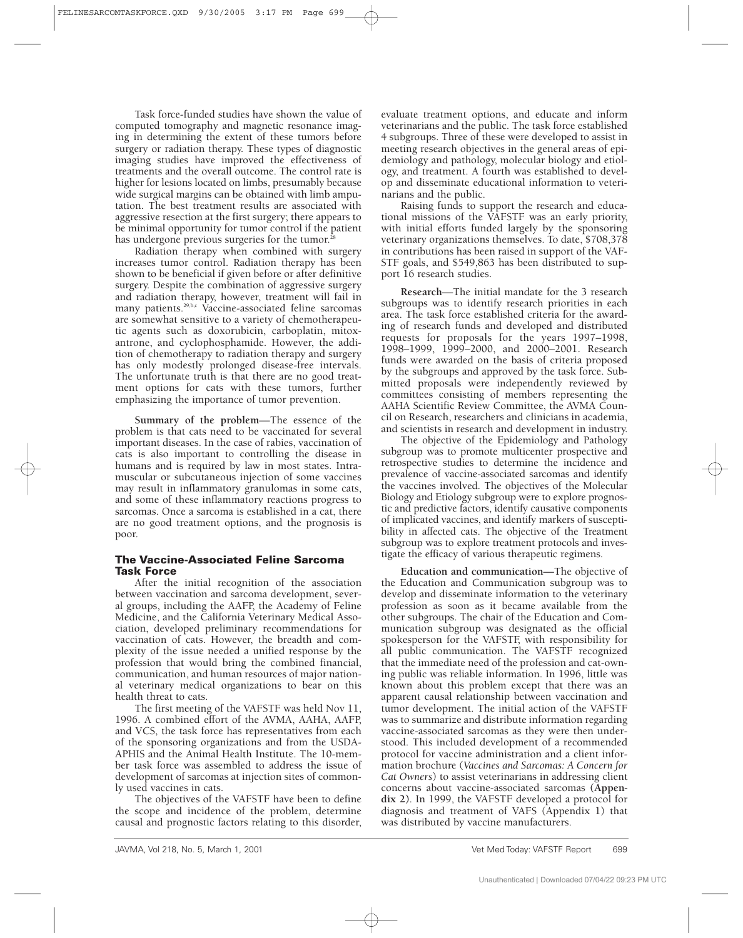Task force-funded studies have shown the value of computed tomography and magnetic resonance imaging in determining the extent of these tumors before surgery or radiation therapy. These types of diagnostic imaging studies have improved the effectiveness of treatments and the overall outcome. The control rate is higher for lesions located on limbs, presumably because wide surgical margins can be obtained with limb amputation. The best treatment results are associated with aggressive resection at the first surgery; there appears to be minimal opportunity for tumor control if the patient has undergone previous surgeries for the tumor.<sup>2</sup>

Radiation therapy when combined with surgery increases tumor control. Radiation therapy has been shown to be beneficial if given before or after definitive surgery. Despite the combination of aggressive surgery and radiation therapy, however, treatment will fail in many patients.29,b,c Vaccine-associated feline sarcomas are somewhat sensitive to a variety of chemotherapeutic agents such as doxorubicin, carboplatin, mitoxantrone, and cyclophosphamide. However, the addition of chemotherapy to radiation therapy and surgery has only modestly prolonged disease-free intervals. The unfortunate truth is that there are no good treatment options for cats with these tumors, further emphasizing the importance of tumor prevention.

**Summary of the problem**—The essence of the problem is that cats need to be vaccinated for several important diseases. In the case of rabies, vaccination of cats is also important to controlling the disease in humans and is required by law in most states. Intramuscular or subcutaneous injection of some vaccines may result in inflammatory granulomas in some cats, and some of these inflammatory reactions progress to sarcomas. Once a sarcoma is established in a cat, there are no good treatment options, and the prognosis is poor.

## **The Vaccine-Associated Feline Sarcoma Task Force**

After the initial recognition of the association between vaccination and sarcoma development, several groups, including the AAFP, the Academy of Feline Medicine, and the California Veterinary Medical Association, developed preliminary recommendations for vaccination of cats. However, the breadth and complexity of the issue needed a unified response by the profession that would bring the combined financial, communication, and human resources of major national veterinary medical organizations to bear on this health threat to cats.

The first meeting of the VAFSTF was held Nov 11, 1996. A combined effort of the AVMA, AAHA, AAFP, and VCS, the task force has representatives from each of the sponsoring organizations and from the USDA-APHIS and the Animal Health Institute. The 10-member task force was assembled to address the issue of development of sarcomas at injection sites of commonly used vaccines in cats.

The objectives of the VAFSTF have been to define the scope and incidence of the problem, determine causal and prognostic factors relating to this disorder, evaluate treatment options, and educate and inform veterinarians and the public. The task force established 4 subgroups. Three of these were developed to assist in meeting research objectives in the general areas of epidemiology and pathology, molecular biology and etiology, and treatment. A fourth was established to develop and disseminate educational information to veterinarians and the public.

Raising funds to support the research and educational missions of the VAFSTF was an early priority, with initial efforts funded largely by the sponsoring veterinary organizations themselves. To date, \$708,378 in contributions has been raised in support of the VAF-STF goals, and \$549,863 has been distributed to support 16 research studies.

**Research**—The initial mandate for the 3 research subgroups was to identify research priorities in each area. The task force established criteria for the awarding of research funds and developed and distributed requests for proposals for the years 1997–1998, 1998–1999, 1999–2000, and 2000–2001. Research funds were awarded on the basis of criteria proposed by the subgroups and approved by the task force. Submitted proposals were independently reviewed by committees consisting of members representing the AAHA Scientific Review Committee, the AVMA Council on Research, researchers and clinicians in academia, and scientists in research and development in industry.

The objective of the Epidemiology and Pathology subgroup was to promote multicenter prospective and retrospective studies to determine the incidence and prevalence of vaccine-associated sarcomas and identify the vaccines involved. The objectives of the Molecular Biology and Etiology subgroup were to explore prognostic and predictive factors, identify causative components of implicated vaccines, and identify markers of susceptibility in affected cats. The objective of the Treatment subgroup was to explore treatment protocols and investigate the efficacy of various therapeutic regimens.

**Education and communication**—The objective of the Education and Communication subgroup was to develop and disseminate information to the veterinary profession as soon as it became available from the other subgroups. The chair of the Education and Communication subgroup was designated as the official spokesperson for the VAFSTF, with responsibility for all public communication. The VAFSTF recognized that the immediate need of the profession and cat-owning public was reliable information. In 1996, little was known about this problem except that there was an apparent causal relationship between vaccination and tumor development. The initial action of the VAFSTF was to summarize and distribute information regarding vaccine-associated sarcomas as they were then understood. This included development of a recommended protocol for vaccine administration and a client information brochure (*Vaccines and Sarcomas: A Concern for Cat Owners*) to assist veterinarians in addressing client concerns about vaccine-associated sarcomas **(Appendix 2)**. In 1999, the VAFSTF developed a protocol for diagnosis and treatment of VAFS (Appendix 1) that was distributed by vaccine manufacturers.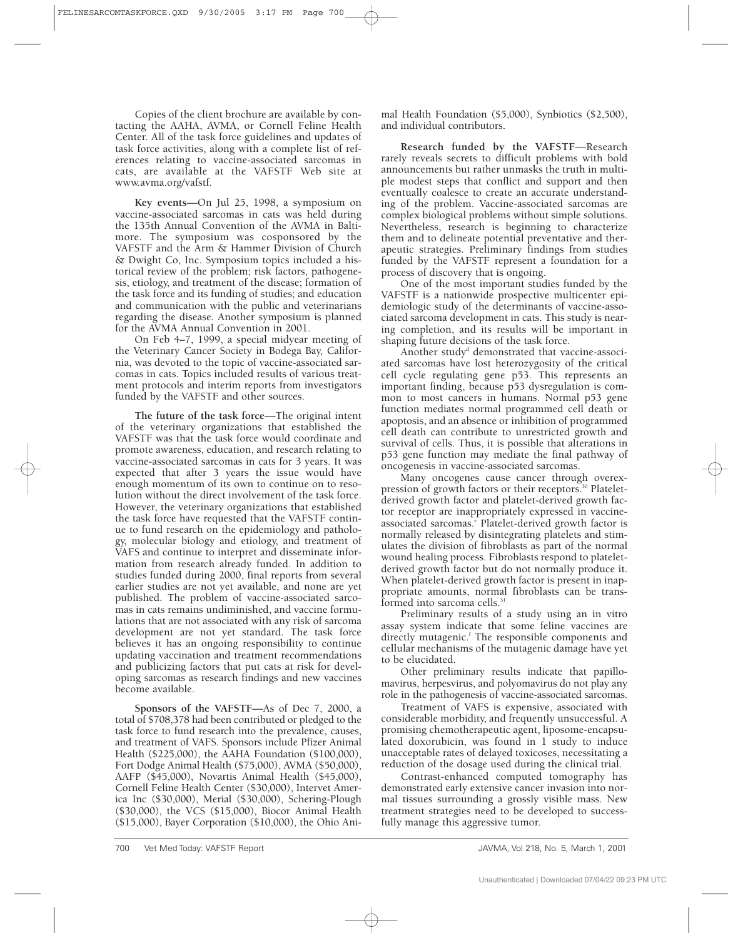Copies of the client brochure are available by contacting the AAHA, AVMA, or Cornell Feline Health Center. All of the task force guidelines and updates of task force activities, along with a complete list of references relating to vaccine-associated sarcomas in cats, are available at the VAFSTF Web site at www.avma.org/vafstf.

**Key events**—On Jul 25, 1998, a symposium on vaccine-associated sarcomas in cats was held during the 135th Annual Convention of the AVMA in Baltimore. The symposium was cosponsored by the VAFSTF and the Arm & Hammer Division of Church & Dwight Co, Inc. Symposium topics included a historical review of the problem; risk factors, pathogenesis, etiology, and treatment of the disease; formation of the task force and its funding of studies; and education and communication with the public and veterinarians regarding the disease. Another symposium is planned for the AVMA Annual Convention in 2001.

On Feb 4–7, 1999, a special midyear meeting of the Veterinary Cancer Society in Bodega Bay, California, was devoted to the topic of vaccine-associated sarcomas in cats. Topics included results of various treatment protocols and interim reports from investigators funded by the VAFSTF and other sources.

**The future of the task force**—The original intent of the veterinary organizations that established the VAFSTF was that the task force would coordinate and promote awareness, education, and research relating to vaccine-associated sarcomas in cats for 3 years. It was expected that after 3 years the issue would have enough momentum of its own to continue on to resolution without the direct involvement of the task force. However, the veterinary organizations that established the task force have requested that the VAFSTF continue to fund research on the epidemiology and pathology, molecular biology and etiology, and treatment of VAFS and continue to interpret and disseminate information from research already funded. In addition to studies funded during 2000, final reports from several earlier studies are not yet available, and none are yet published. The problem of vaccine-associated sarcomas in cats remains undiminished, and vaccine formulations that are not associated with any risk of sarcoma development are not yet standard. The task force believes it has an ongoing responsibility to continue updating vaccination and treatment recommendations and publicizing factors that put cats at risk for developing sarcomas as research findings and new vaccines become available.

**Sponsors of the VAFSTF**—As of Dec 7, 2000, a total of \$708,378 had been contributed or pledged to the task force to fund research into the prevalence, causes, and treatment of VAFS. Sponsors include Pfizer Animal Health (\$225,000), the AAHA Foundation (\$100,000), Fort Dodge Animal Health (\$75,000), AVMA (\$50,000), AAFP (\$45,000), Novartis Animal Health (\$45,000), Cornell Feline Health Center (\$30,000), Intervet America Inc (\$30,000), Merial (\$30,000), Schering-Plough (\$30,000), the VCS (\$15,000), Biocor Animal Health (\$15,000), Bayer Corporation (\$10,000), the Ohio Animal Health Foundation (\$5,000), Synbiotics (\$2,500), and individual contributors.

**Research funded by the VAFSTF**—Research rarely reveals secrets to difficult problems with bold announcements but rather unmasks the truth in multiple modest steps that conflict and support and then eventually coalesce to create an accurate understanding of the problem. Vaccine-associated sarcomas are complex biological problems without simple solutions. Nevertheless, research is beginning to characterize them and to delineate potential preventative and therapeutic strategies. Preliminary findings from studies funded by the VAFSTF represent a foundation for a process of discovery that is ongoing.

One of the most important studies funded by the VAFSTF is a nationwide prospective multicenter epidemiologic study of the determinants of vaccine-associated sarcoma development in cats. This study is nearing completion, and its results will be important in shaping future decisions of the task force.

Another study<sup>d</sup> demonstrated that vaccine-associated sarcomas have lost heterozygosity of the critical cell cycle regulating gene p53. This represents an important finding, because p53 dysregulation is common to most cancers in humans. Normal p53 gene function mediates normal programmed cell death or apoptosis, and an absence or inhibition of programmed cell death can contribute to unrestricted growth and survival of cells. Thus, it is possible that alterations in p53 gene function may mediate the final pathway of oncogenesis in vaccine-associated sarcomas.

Many oncogenes cause cancer through overexpression of growth factors or their receptors.<sup>30</sup> Plateletderived growth factor and platelet-derived growth factor receptor are inappropriately expressed in vaccineassociated sarcomas.<sup>e</sup> Platelet-derived growth factor is normally released by disintegrating platelets and stimulates the division of fibroblasts as part of the normal wound healing process. Fibroblasts respond to plateletderived growth factor but do not normally produce it. When platelet-derived growth factor is present in inappropriate amounts, normal fibroblasts can be transformed into sarcoma cells.<sup>31</sup>

Preliminary results of a study using an in vitro assay system indicate that some feline vaccines are directly mutagenic.<sup>f</sup> The responsible components and cellular mechanisms of the mutagenic damage have yet to be elucidated.

Other preliminary results indicate that papillomavirus, herpesvirus, and polyomavirus do not play any role in the pathogenesis of vaccine-associated sarcomas.

Treatment of VAFS is expensive, associated with considerable morbidity, and frequently unsuccessful. A promising chemotherapeutic agent, liposome-encapsulated doxorubicin, was found in 1 study to induce unacceptable rates of delayed toxicoses, necessitating a reduction of the dosage used during the clinical trial.

Contrast-enhanced computed tomography has demonstrated early extensive cancer invasion into normal tissues surrounding a grossly visible mass. New treatment strategies need to be developed to successfully manage this aggressive tumor.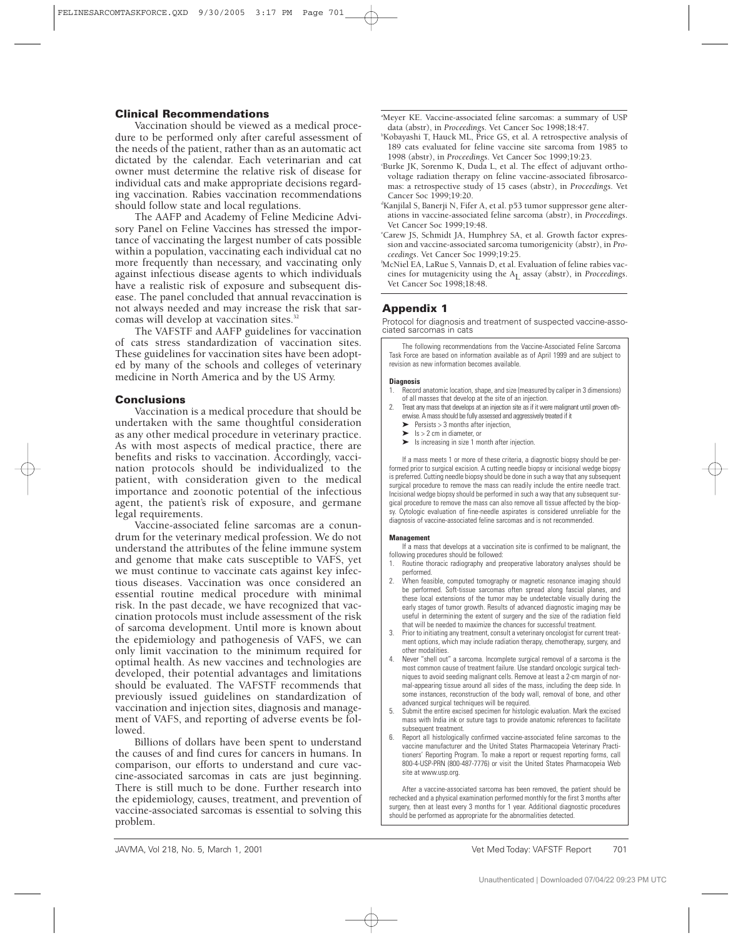## **Clinical Recommendations**

Vaccination should be viewed as a medical procedure to be performed only after careful assessment of the needs of the patient, rather than as an automatic act dictated by the calendar. Each veterinarian and cat owner must determine the relative risk of disease for individual cats and make appropriate decisions regarding vaccination. Rabies vaccination recommendations should follow state and local regulations.

The AAFP and Academy of Feline Medicine Advisory Panel on Feline Vaccines has stressed the importance of vaccinating the largest number of cats possible within a population, vaccinating each individual cat no more frequently than necessary, and vaccinating only against infectious disease agents to which individuals have a realistic risk of exposure and subsequent disease. The panel concluded that annual revaccination is not always needed and may increase the risk that sarcomas will develop at vaccination sites.<sup>32</sup>

The VAFSTF and AAFP guidelines for vaccination of cats stress standardization of vaccination sites. These guidelines for vaccination sites have been adopted by many of the schools and colleges of veterinary medicine in North America and by the US Army.

## **Conclusions**

Vaccination is a medical procedure that should be undertaken with the same thoughtful consideration as any other medical procedure in veterinary practice. As with most aspects of medical practice, there are benefits and risks to vaccination. Accordingly, vaccination protocols should be individualized to the patient, with consideration given to the medical importance and zoonotic potential of the infectious agent, the patient's risk of exposure, and germane legal requirements.

Vaccine-associated feline sarcomas are a conundrum for the veterinary medical profession. We do not understand the attributes of the feline immune system and genome that make cats susceptible to VAFS, yet we must continue to vaccinate cats against key infectious diseases. Vaccination was once considered an essential routine medical procedure with minimal risk. In the past decade, we have recognized that vaccination protocols must include assessment of the risk of sarcoma development. Until more is known about the epidemiology and pathogenesis of VAFS, we can only limit vaccination to the minimum required for optimal health. As new vaccines and technologies are developed, their potential advantages and limitations should be evaluated. The VAFSTF recommends that previously issued guidelines on standardization of vaccination and injection sites, diagnosis and management of VAFS, and reporting of adverse events be followed.

Billions of dollars have been spent to understand the causes of and find cures for cancers in humans. In comparison, our efforts to understand and cure vaccine-associated sarcomas in cats are just beginning. There is still much to be done. Further research into the epidemiology, causes, treatment, and prevention of vaccine-associated sarcomas is essential to solving this problem.

a Meyer KE. Vaccine-associated feline sarcomas: a summary of USP data (abstr), in *Proceedings*. Vet Cancer Soc 1998;18:47.

- b Kobayashi T, Hauck ML, Price GS, et al. A retrospective analysis of 189 cats evaluated for feline vaccine site sarcoma from 1985 to 1998 (abstr), in *Proceedings*. Vet Cancer Soc 1999;19:23.
- Burke JK, Sorenmo K, Duda L, et al. The effect of adjuvant orthovoltage radiation therapy on feline vaccine-associated fibrosarcomas: a retrospective study of 15 cases (abstr), in *Proceedings*. Vet Cancer Soc 1999;19:20.
- d Kanjilal S, Banerji N, Fifer A, et al. p53 tumor suppressor gene alterations in vaccine-associated feline sarcoma (abstr), in *Proceedings*. Vet Cancer Soc 1999;19:48.
- e Carew JS, Schmidt JA, Humphrey SA, et al. Growth factor expression and vaccine-associated sarcoma tumorigenicity (abstr), in *Proceedings*. Vet Cancer Soc 1999;19:25.
- f McNiel EA, LaRue S, Vannais D, et al. Evaluation of feline rabies vaccines for mutagenicity using the A<sub>L</sub> assay (abstr), in *Proceedings*. Vet Cancer Soc 1998;18:48.

# **Appendix 1**

Protocol for diagnosis and treatment of suspected vaccine-associated sarcomas in cats

The following recommendations from the Vaccine-Associated Feline Sarcoma Task Force are based on information available as of April 1999 and are subject to revision as new information becomes available.

#### **Diagnosis**

- 1. Record anatomic location, shape, and size (measured by caliper in 3 dimensions) of all masses that develop at the site of an injection.
- 2. Treat any mass that develops at an injection site as if it were malignant until proven otherwise. A mass should be fully assessed and aggressively treated if it
	- $\blacktriangleright$  Persists > 3 months after injection,
	- $\blacktriangleright$ Is > 2 cm in diameter, or
	- $\blacktriangleright$  Is increasing in size 1 month after injection.

If a mass meets 1 or more of these criteria, a diagnostic biopsy should be performed prior to surgical excision. A cutting needle biopsy or incisional wedge biopsy is preferred. Cutting needle biopsy should be done in such a way that any subsequent surgical procedure to remove the mass can readily include the entire needle tract. Incisional wedge biopsy should be performed in such a way that any subsequent surgical procedure to remove the mass can also remove all tissue affected by the biopsy. Cytologic evaluation of fine-needle aspirates is considered unreliable for the diagnosis of vaccine-associated feline sarcomas and is not recommended.

#### **Management**

- If a mass that develops at a vaccination site is confirmed to be malignant, the following procedures should be followed:
- Routine thoracic radiography and preoperative laboratory analyses should be performed.
- 2. When feasible, computed tomography or magnetic resonance imaging should be performed. Soft-tissue sarcomas often spread along fascial planes, and these local extensions of the tumor may be undetectable visually during the early stages of tumor growth. Results of advanced diagnostic imaging may be useful in determining the extent of surgery and the size of the radiation field that will be needed to maximize the chances for successful treatment.
- 3. Prior to initiating any treatment, consult a veterinary oncologist for current treatment options, which may include radiation therapy, chemotherapy, surgery, and other modalities.
- 4. Never "shell out" a sarcoma. Incomplete surgical removal of a sarcoma is the most common cause of treatment failure. Use standard oncologic surgical techniques to avoid seeding malignant cells. Remove at least a 2-cm margin of normal-appearing tissue around all sides of the mass, including the deep side. In some instances, reconstruction of the body wall, removal of bone, and other advanced surgical techniques will be required.
- 5. Submit the entire excised specimen for histologic evaluation. Mark the excised mass with India ink or suture tags to provide anatomic references to facilitate subsequent treatment.
- 6. Report all histologically confirmed vaccine-associated feline sarcomas to the vaccine manufacturer and the United States Pharmacopeia Veterinary Practitioners' Reporting Program. To make a report or request reporting forms, call 800-4-USP-PRN (800-487-7776) or visit the United States Pharmacopeia Web site at www.usp.org.

After a vaccine-associated sarcoma has been removed, the patient should be rechecked and a physical examination performed monthly for the first 3 months after surgery, then at least every 3 months for 1 year. Additional diagnostic procedures should be performed as appropriate for the abnormalities detected.